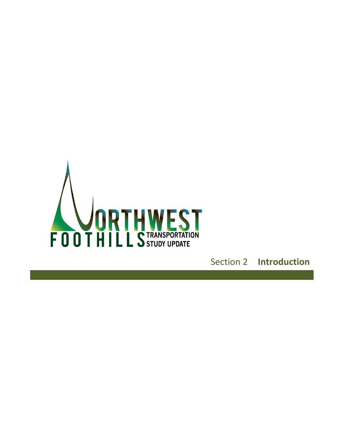

Section 2 **Introduction**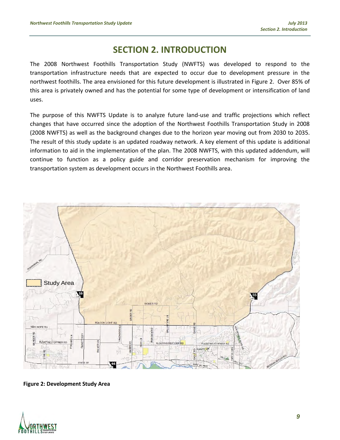## **SECTION 2. INTRODUCTION**

The 2008 Northwest Foothills Transportation Study (NWFTS) was developed to respond to the transportation infrastructure needs that are expected to occur due to development pressure in the northwest foothills. The area envisioned for this future development is illustrated in [Figure 2.](#page-2-0) Over 85% of this area is privately owned and has the potential for some type of development or intensification of land uses.

The purpose of this NWFTS Update is to analyze future land-use and traffic projections which reflect changes that have occurred since the adoption of the Northwest Foothills Transportation Study in 2008 (2008 NWFTS) as well as the background changes due to the horizon year moving out from 2030 to 2035. The result of this study update is an updated roadway network. A key element of this update is additional information to aid in the implementation of the plan. The 2008 NWFTS, with this updated addendum, will continue to function as a policy guide and corridor preservation mechanism for improving the transportation system as development occurs in the Northwest Foothills area.



## <span id="page-2-0"></span>**Figure 2: Development Study Area**